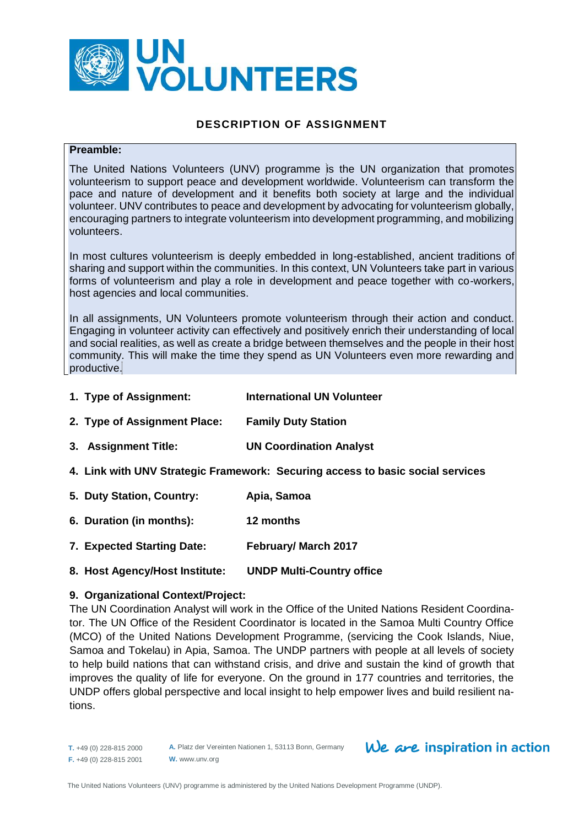

# **DESCRIPTION OF ASSIGNMENT**

#### **Preamble:**

The United Nations Volunteers (UNV) programme is the UN organization that promotes volunteerism to support peace and development worldwide. Volunteerism can transform the pace and nature of development and it benefits both society at large and the individual volunteer. UNV contributes to peace and development by advocating for volunteerism globally, encouraging partners to integrate volunteerism into development programming, and mobilizing volunteers.

In most cultures volunteerism is deeply embedded in long-established, ancient traditions of sharing and support within the communities. In this context, UN Volunteers take part in various forms of volunteerism and play a role in development and peace together with co-workers, host agencies and local communities.

In all assignments, UN Volunteers promote volunteerism through their action and conduct. Engaging in volunteer activity can effectively and positively enrich their understanding of local and social realities, as well as create a bridge between themselves and the people in their host community. This will make the time they spend as UN Volunteers even more rewarding and productive.

- **1. Type of Assignment: International UN Volunteer**
- **2. Type of Assignment Place: Family Duty Station**
- **3. Assignment Title: UN Coordination Analyst**
- **4. Link with UNV Strategic Framework: Securing access to basic social services**
- **5. Duty Station, Country: Apia, Samoa**
- **6. Duration (in months): 12 months**
- **7. Expected Starting Date: February/ March 2017**
- **8. Host Agency/Host Institute: UNDP Multi-Country office**

#### **9. Organizational Context/Project:**

The UN Coordination Analyst will work in the Office of the United Nations Resident Coordinator. The UN Office of the Resident Coordinator is located in the Samoa Multi Country Office (MCO) of the United Nations Development Programme, (servicing the Cook Islands, Niue, Samoa and Tokelau) in Apia, Samoa. The UNDP partners with people at all levels of society to help build nations that can withstand crisis, and drive and sustain the kind of growth that improves the quality of life for everyone. On the ground in 177 countries and territories, the UNDP offers global perspective and local insight to help empower lives and build resilient nations.

**A.** Platz der Vereinten Nationen 1, 53113 Bonn, Germany **W.** www.unv.org

# We are inspiration in action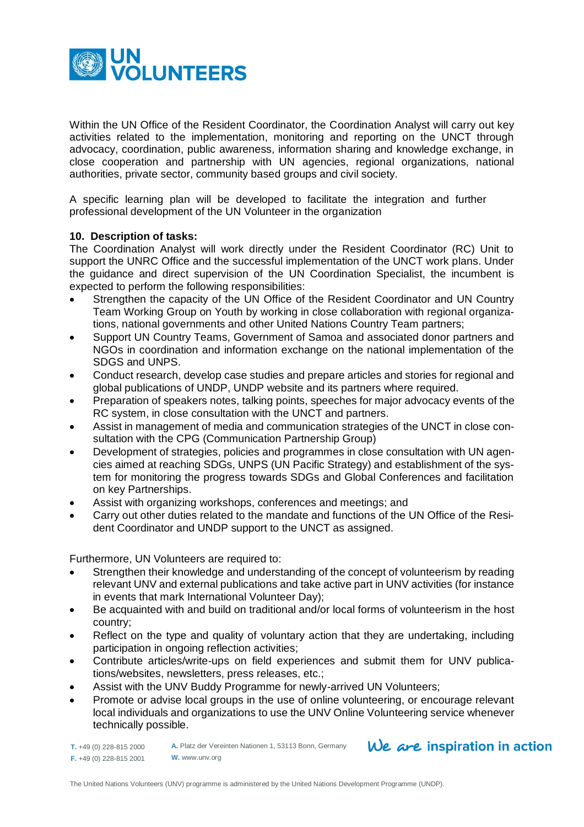

Within the UN Office of the Resident Coordinator, the Coordination Analyst will carry out key activities related to the implementation, monitoring and reporting on the UNCT through advocacy, coordination, public awareness, information sharing and knowledge exchange, in close cooperation and partnership with UN agencies, regional organizations, national authorities, private sector, community based groups and civil society.

A specific learning plan will be developed to facilitate the integration and further professional development of the UN Volunteer in the organization

# **10. Description of tasks:**

The Coordination Analyst will work directly under the Resident Coordinator (RC) Unit to support the UNRC Office and the successful implementation of the UNCT work plans. Under the guidance and direct supervision of the UN Coordination Specialist, the incumbent is expected to perform the following responsibilities:

- Strengthen the capacity of the UN Office of the Resident Coordinator and UN Country Team Working Group on Youth by working in close collaboration with regional organizations, national governments and other United Nations Country Team partners;
- Support UN Country Teams, Government of Samoa and associated donor partners and NGOs in coordination and information exchange on the national implementation of the SDGS and UNPS.
- Conduct research, develop case studies and prepare articles and stories for regional and global publications of UNDP, UNDP website and its partners where required.
- Preparation of speakers notes, talking points, speeches for major advocacy events of the RC system, in close consultation with the UNCT and partners.
- Assist in management of media and communication strategies of the UNCT in close consultation with the CPG (Communication Partnership Group)
- Development of strategies, policies and programmes in close consultation with UN agencies aimed at reaching SDGs, UNPS (UN Pacific Strategy) and establishment of the system for monitoring the progress towards SDGs and Global Conferences and facilitation on key Partnerships.
- Assist with organizing workshops, conferences and meetings; and
- Carry out other duties related to the mandate and functions of the UN Office of the Resident Coordinator and UNDP support to the UNCT as assigned.

Furthermore, UN Volunteers are required to:

- Strengthen their knowledge and understanding of the concept of volunteerism by reading relevant UNV and external publications and take active part in UNV activities (for instance in events that mark International Volunteer Day);
- Be acquainted with and build on traditional and/or local forms of volunteerism in the host country;
- Reflect on the type and quality of voluntary action that they are undertaking, including participation in ongoing reflection activities;
- Contribute articles/write-ups on field experiences and submit them for UNV publications/websites, newsletters, press releases, etc.;
- Assist with the UNV Buddy Programme for newly-arrived UN Volunteers;
- Promote or advise local groups in the use of online volunteering, or encourage relevant local individuals and organizations to use the UNV Online Volunteering service whenever technically possible.

**T.** +49 (0) 228-815 2000 **F.** +49 (0) 228-815 2001 **A.** Platz der Vereinten Nationen 1, 53113 Bonn, Germany **W.** www.unv.org

 $We$  are inspiration in action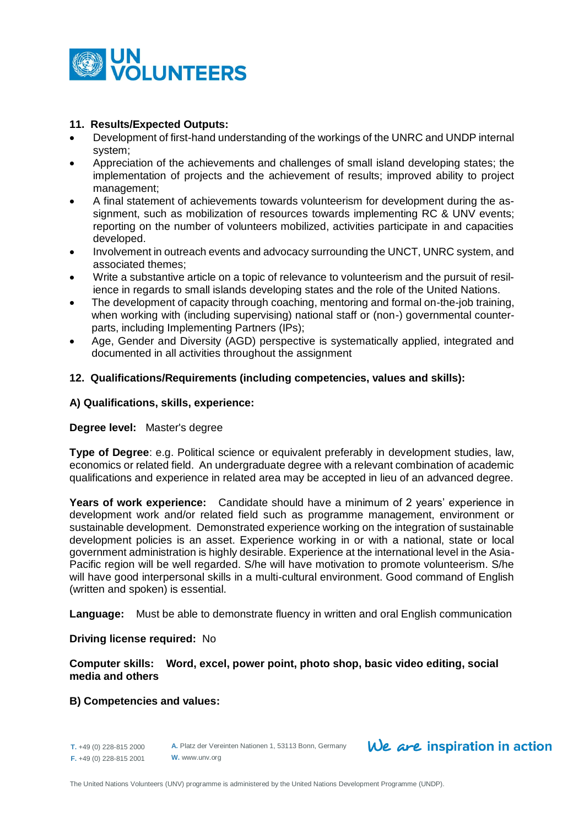

# **11. Results/Expected Outputs:**

- Development of first-hand understanding of the workings of the UNRC and UNDP internal system;
- Appreciation of the achievements and challenges of small island developing states; the implementation of projects and the achievement of results; improved ability to project management;
- A final statement of achievements towards volunteerism for development during the assignment, such as mobilization of resources towards implementing RC & UNV events; reporting on the number of volunteers mobilized, activities participate in and capacities developed.
- Involvement in outreach events and advocacy surrounding the UNCT, UNRC system, and associated themes;
- Write a substantive article on a topic of relevance to volunteerism and the pursuit of resilience in regards to small islands developing states and the role of the United Nations.
- The development of capacity through coaching, mentoring and formal on-the-job training, when working with (including supervising) national staff or (non-) governmental counterparts, including Implementing Partners (IPs);
- Age, Gender and Diversity (AGD) perspective is systematically applied, integrated and documented in all activities throughout the assignment

# **12. Qualifications/Requirements (including competencies, values and skills):**

# **A) Qualifications, skills, experience:**

#### **Degree level:** Master's degree

**Type of Degree**: e.g. Political science or equivalent preferably in development studies, law, economics or related field. An undergraduate degree with a relevant combination of academic qualifications and experience in related area may be accepted in lieu of an advanced degree.

**Years of work experience:** Candidate should have a minimum of 2 years' experience in development work and/or related field such as programme management, environment or sustainable development. Demonstrated experience working on the integration of sustainable development policies is an asset. Experience working in or with a national, state or local government administration is highly desirable. Experience at the international level in the Asia-Pacific region will be well regarded. S/he will have motivation to promote volunteerism. S/he will have good interpersonal skills in a multi-cultural environment. Good command of English (written and spoken) is essential.

**Language:** Must be able to demonstrate fluency in written and oral English communication

#### **Driving license required:** No

**Computer skills: Word, excel, power point, photo shop, basic video editing, social media and others**

#### **B) Competencies and values:**

**T.** +49 (0) 228-815 2000 **F.** +49 (0) 228-815 2001

**A.** Platz der Vereinten Nationen 1, 53113 Bonn, Germany **W.** www.unv.org

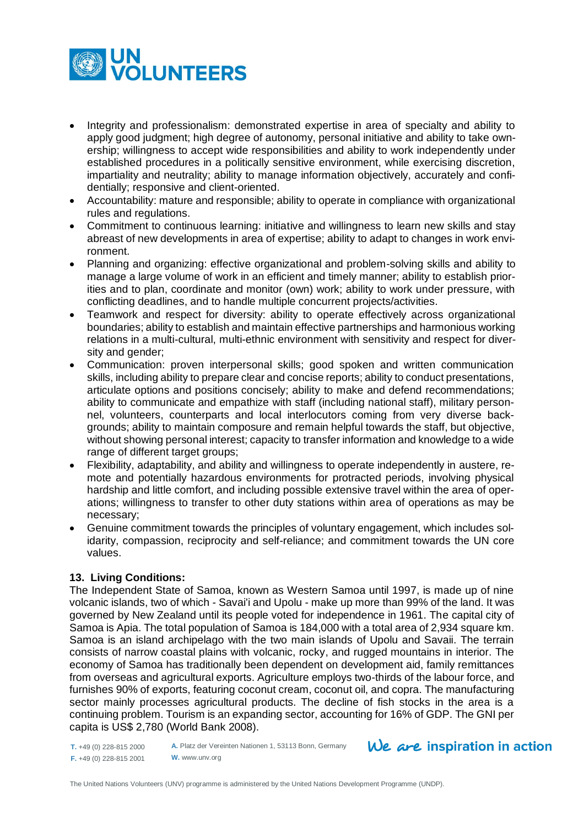

- Integrity and professionalism: demonstrated expertise in area of specialty and ability to apply good judgment; high degree of autonomy, personal initiative and ability to take ownership; willingness to accept wide responsibilities and ability to work independently under established procedures in a politically sensitive environment, while exercising discretion, impartiality and neutrality; ability to manage information objectively, accurately and confidentially; responsive and client-oriented.
- Accountability: mature and responsible; ability to operate in compliance with organizational rules and regulations.
- Commitment to continuous learning: initiative and willingness to learn new skills and stay abreast of new developments in area of expertise; ability to adapt to changes in work environment.
- Planning and organizing: effective organizational and problem-solving skills and ability to manage a large volume of work in an efficient and timely manner; ability to establish priorities and to plan, coordinate and monitor (own) work; ability to work under pressure, with conflicting deadlines, and to handle multiple concurrent projects/activities.
- Teamwork and respect for diversity: ability to operate effectively across organizational boundaries; ability to establish and maintain effective partnerships and harmonious working relations in a multi-cultural, multi-ethnic environment with sensitivity and respect for diversity and gender;
- Communication: proven interpersonal skills; good spoken and written communication skills, including ability to prepare clear and concise reports; ability to conduct presentations, articulate options and positions concisely; ability to make and defend recommendations; ability to communicate and empathize with staff (including national staff), military personnel, volunteers, counterparts and local interlocutors coming from very diverse backgrounds; ability to maintain composure and remain helpful towards the staff, but objective, without showing personal interest; capacity to transfer information and knowledge to a wide range of different target groups;
- Flexibility, adaptability, and ability and willingness to operate independently in austere, remote and potentially hazardous environments for protracted periods, involving physical hardship and little comfort, and including possible extensive travel within the area of operations; willingness to transfer to other duty stations within area of operations as may be necessary;
- Genuine commitment towards the principles of voluntary engagement, which includes solidarity, compassion, reciprocity and self-reliance; and commitment towards the UN core values.

# **13. Living Conditions:**

The Independent State of Samoa, known as Western Samoa until 1997, is made up of nine volcanic islands, two of which - Savai'i and Upolu - make up more than 99% of the land. It was governed by New Zealand until its people voted for independence in 1961. The capital city of Samoa is Apia. The total population of Samoa is 184,000 with a total area of 2,934 square km. Samoa is an island archipelago with the two main islands of Upolu and Savaii. The terrain consists of narrow coastal plains with volcanic, rocky, and rugged mountains in interior. The economy of Samoa has traditionally been dependent on development aid, family remittances from overseas and agricultural exports. Agriculture employs two-thirds of the labour force, and furnishes 90% of exports, featuring coconut cream, coconut oil, and copra. The manufacturing sector mainly processes agricultural products. The decline of fish stocks in the area is a continuing problem. Tourism is an expanding sector, accounting for 16% of GDP. The GNI per capita is US\$ 2,780 (World Bank 2008).

**T.** +49 (0) 228-815 2000 **F.** +49 (0) 228-815 2001 **A.** Platz der Vereinten Nationen 1, 53113 Bonn, Germany **W.** www.unv.org

 $We$  are inspiration in action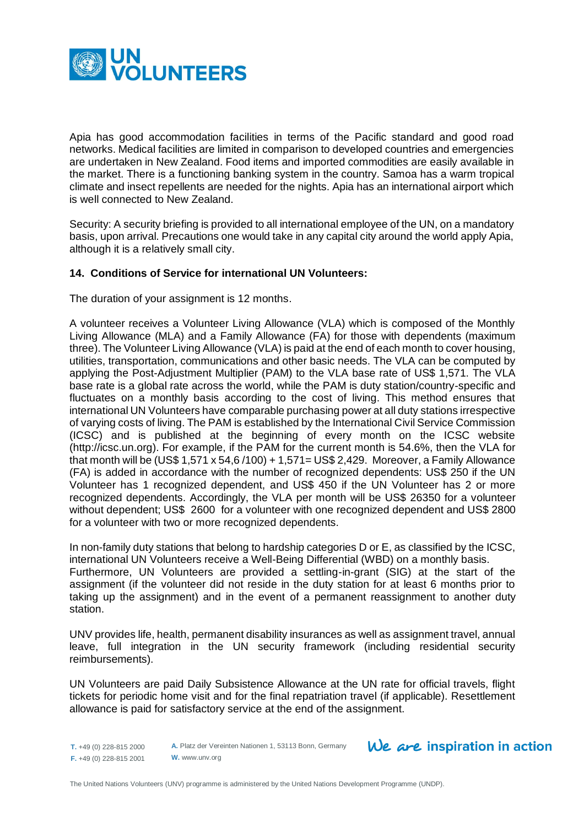

Apia has good accommodation facilities in terms of the Pacific standard and good road networks. Medical facilities are limited in comparison to developed countries and emergencies are undertaken in New Zealand. Food items and imported commodities are easily available in the market. There is a functioning banking system in the country. Samoa has a warm tropical climate and insect repellents are needed for the nights. Apia has an international airport which is well connected to New Zealand.

Security: A security briefing is provided to all international employee of the UN, on a mandatory basis, upon arrival. Precautions one would take in any capital city around the world apply Apia, although it is a relatively small city.

# **14. Conditions of Service for international UN Volunteers:**

The duration of your assignment is 12 months.

A volunteer receives a Volunteer Living Allowance (VLA) which is composed of the Monthly Living Allowance (MLA) and a Family Allowance (FA) for those with dependents (maximum three). The Volunteer Living Allowance (VLA) is paid at the end of each month to cover housing, utilities, transportation, communications and other basic needs. The VLA can be computed by applying the Post-Adjustment Multiplier (PAM) to the VLA base rate of US\$ 1,571. The VLA base rate is a global rate across the world, while the PAM is duty station/country-specific and fluctuates on a monthly basis according to the cost of living. This method ensures that international UN Volunteers have comparable purchasing power at all duty stations irrespective of varying costs of living. The PAM is established by the International Civil Service Commission (ICSC) and is published at the beginning of every month on the ICSC website [\(http://icsc.un.org\)](http://icsc.un.org/). For example, if the PAM for the current month is 54.6%, then the VLA for that month will be (US\$ 1,571 x 54,6 /100) + 1,571= US\$ 2,429. Moreover, a Family Allowance (FA) is added in accordance with the number of recognized dependents: US\$ 250 if the UN Volunteer has 1 recognized dependent, and US\$ 450 if the UN Volunteer has 2 or more recognized dependents. Accordingly, the VLA per month will be US\$ 26350 for a volunteer without dependent; US\$ 2600 for a volunteer with one recognized dependent and US\$ 2800 for a volunteer with two or more recognized dependents.

In non-family duty stations that belong to hardship categories D or E, as classified by the ICSC, international UN Volunteers receive a Well-Being Differential (WBD) on a monthly basis. Furthermore, UN Volunteers are provided a settling-in-grant (SIG) at the start of the assignment (if the volunteer did not reside in the duty station for at least 6 months prior to taking up the assignment) and in the event of a permanent reassignment to another duty station.

UNV provides life, health, permanent disability insurances as well as assignment travel, annual leave, full integration in the UN security framework (including residential security reimbursements).

UN Volunteers are paid Daily Subsistence Allowance at the UN rate for official travels, flight tickets for periodic home visit and for the final repatriation travel (if applicable). Resettlement allowance is paid for satisfactory service at the end of the assignment.

**T.** +49 (0) 228-815 2000 **F.** +49 (0) 228-815 2001

**A.** Platz der Vereinten Nationen 1, 53113 Bonn, Germany **W.** www.unv.org

# $We$  are inspiration in action